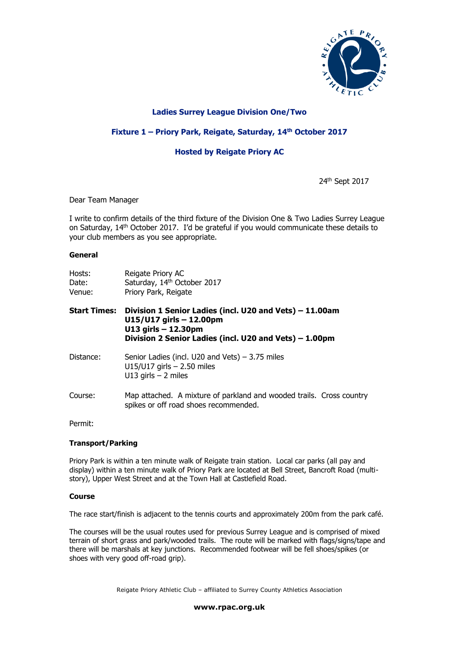

## **Ladies Surrey League Division One/Two**

## **Fixture 1 – Priory Park, Reigate, Saturday, 14 th October 2017**

# **Hosted by Reigate Priory AC**

24th Sept 2017

### Dear Team Manager

I write to confirm details of the third fixture of the Division One & Two Ladies Surrey League on Saturday, 14<sup>th</sup> October 2017. I'd be grateful if you would communicate these details to your club members as you see appropriate.

#### **General**

| Hosts:<br>Date:<br>Venue: | Reigate Priory AC<br>Saturday, 14th October 2017<br>Priory Park, Reigate                                                                                                      |
|---------------------------|-------------------------------------------------------------------------------------------------------------------------------------------------------------------------------|
| <b>Start Times:</b>       | Division 1 Senior Ladies (incl. U20 and Vets) - 11.00am<br>$U15/U17$ girls $- 12.00$ pm<br>$U13$ girls $- 12.30$ pm<br>Division 2 Senior Ladies (incl. U20 and Vets) – 1.00pm |
| Distance:                 | Senior Ladies (incl. U20 and Vets) $-3.75$ miles<br>$U15/U17$ girls $- 2.50$ miles<br>U13 girls $-$ 2 miles                                                                   |
| Course:                   | Map attached. A mixture of parkland and wooded trails. Cross country<br>spikes or off road shoes recommended.                                                                 |

Permit:

### **Transport/Parking**

Priory Park is within a ten minute walk of Reigate train station. Local car parks (all pay and display) within a ten minute walk of Priory Park are located at Bell Street, Bancroft Road (multistory), Upper West Street and at the Town Hall at Castlefield Road.

### **Course**

The race start/finish is adjacent to the tennis courts and approximately 200m from the park café.

The courses will be the usual routes used for previous Surrey League and is comprised of mixed terrain of short grass and park/wooded trails. The route will be marked with flags/signs/tape and there will be marshals at key junctions. Recommended footwear will be fell shoes/spikes (or shoes with very good off-road grip).

Reigate Priory Athletic Club – affiliated to Surrey County Athletics Association